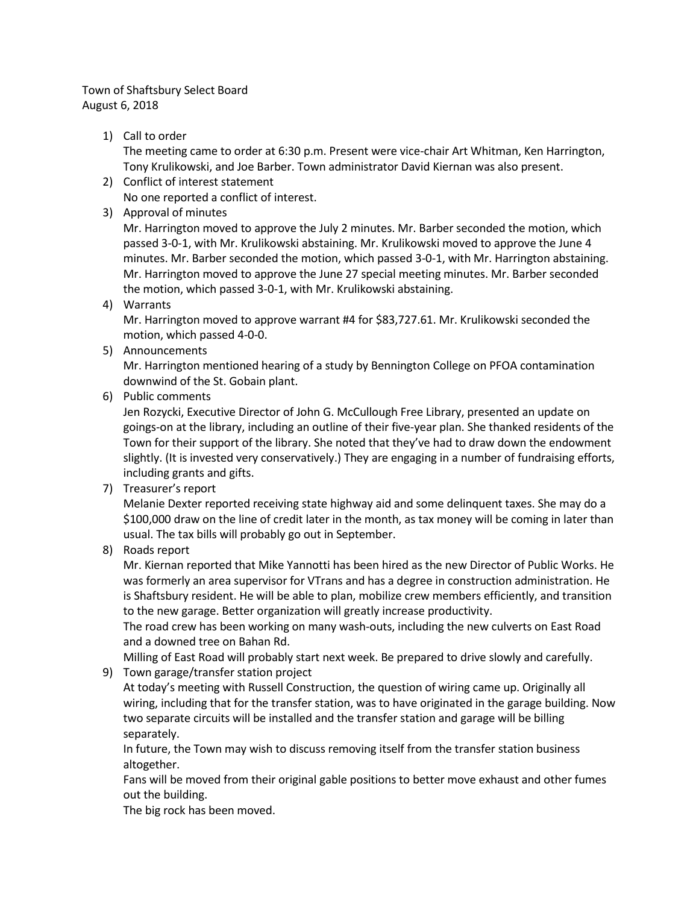## Town of Shaftsbury Select Board August 6, 2018

1) Call to order

The meeting came to order at 6:30 p.m. Present were vice-chair Art Whitman, Ken Harrington, Tony Krulikowski, and Joe Barber. Town administrator David Kiernan was also present.

2) Conflict of interest statement

No one reported a conflict of interest.

3) Approval of minutes

Mr. Harrington moved to approve the July 2 minutes. Mr. Barber seconded the motion, which passed 3-0-1, with Mr. Krulikowski abstaining. Mr. Krulikowski moved to approve the June 4 minutes. Mr. Barber seconded the motion, which passed 3-0-1, with Mr. Harrington abstaining. Mr. Harrington moved to approve the June 27 special meeting minutes. Mr. Barber seconded the motion, which passed 3-0-1, with Mr. Krulikowski abstaining.

4) Warrants

Mr. Harrington moved to approve warrant #4 for \$83,727.61. Mr. Krulikowski seconded the motion, which passed 4-0-0.

5) Announcements

Mr. Harrington mentioned hearing of a study by Bennington College on PFOA contamination downwind of the St. Gobain plant.

6) Public comments

Jen Rozycki, Executive Director of John G. McCullough Free Library, presented an update on goings-on at the library, including an outline of their five-year plan. She thanked residents of the Town for their support of the library. She noted that they've had to draw down the endowment slightly. (It is invested very conservatively.) They are engaging in a number of fundraising efforts, including grants and gifts.

7) Treasurer's report

Melanie Dexter reported receiving state highway aid and some delinquent taxes. She may do a \$100,000 draw on the line of credit later in the month, as tax money will be coming in later than usual. The tax bills will probably go out in September.

8) Roads report

Mr. Kiernan reported that Mike Yannotti has been hired as the new Director of Public Works. He was formerly an area supervisor for VTrans and has a degree in construction administration. He is Shaftsbury resident. He will be able to plan, mobilize crew members efficiently, and transition to the new garage. Better organization will greatly increase productivity.

The road crew has been working on many wash-outs, including the new culverts on East Road and a downed tree on Bahan Rd.

Milling of East Road will probably start next week. Be prepared to drive slowly and carefully.

9) Town garage/transfer station project

At today's meeting with Russell Construction, the question of wiring came up. Originally all wiring, including that for the transfer station, was to have originated in the garage building. Now two separate circuits will be installed and the transfer station and garage will be billing separately.

In future, the Town may wish to discuss removing itself from the transfer station business altogether.

Fans will be moved from their original gable positions to better move exhaust and other fumes out the building.

The big rock has been moved.